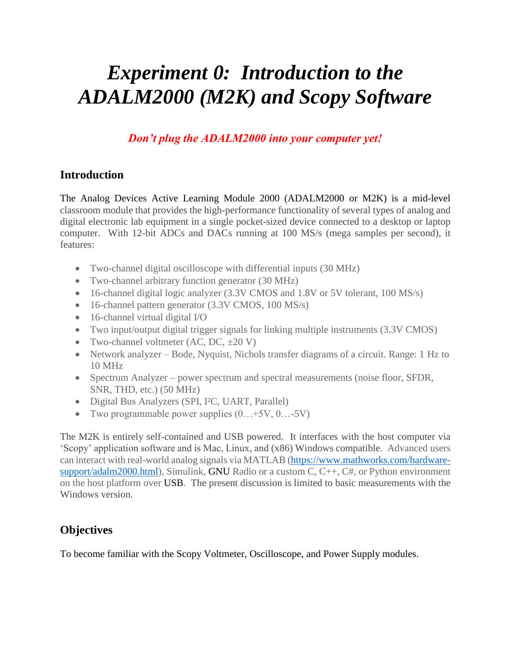# *Experiment 0: Introduction to the ADALM2000 (M2K) and Scopy Software*

*Don't plug the ADALM2000 into your computer yet!*

#### **Introduction**

The Analog Devices Active Learning Module 2000 (ADALM2000 or M2K) is a mid-level classroom module that provides the high-performance functionality of several types of analog and digital electronic lab equipment in a single pocket-sized device connected to a desktop or laptop computer. With 12-bit ADCs and DACs running at 100 MS/s (mega samples per second), it features:

- Two-channel digital oscilloscope with differential inputs (30 MHz)
- Two-channel arbitrary function generator (30 MHz)
- 16-channel digital logic analyzer (3.3V CMOS and 1.8V or 5V tolerant, 100 MS/s)
- 16-channel pattern generator (3.3V CMOS, 100 MS/s)
- 16-channel virtual digital I/O
- Two input/output digital trigger signals for linking multiple instruments (3.3V CMOS)
- Two-channel voltmeter  $(AC, DC, \pm 20 V)$
- Network analyzer Bode, Nyquist, Nichols transfer diagrams of a circuit. Range: 1 Hz to 10 MHz
- Spectrum Analyzer power spectrum and spectral measurements (noise floor, SFDR, SNR, THD, etc.) (50 MHz)
- Digital Bus Analyzers (SPI, I<sup>2</sup>C, UART, Parallel)
- Two programmable power supplies  $(0...+5V, 0...-5V)$

The M2K is entirely self-contained and USB powered. It interfaces with the host computer via 'Scopy' application software and is Mac, Linux, and (x86) Windows compatible. Advanced users can interact with real-world analog signals via MATLAB [\(https://www.mathworks.com/hardware](https://www.mathworks.com/hardware-support/adalm2000.html)[support/adalm2000.html\)](https://www.mathworks.com/hardware-support/adalm2000.html), Simulink, GNU Radio or a custom C, C++, C#, or Python environment on the host platform over USB. The present discussion is limited to basic measurements with the Windows version.

#### **Objectives**

To become familiar with the Scopy Voltmeter, Oscilloscope, and Power Supply modules.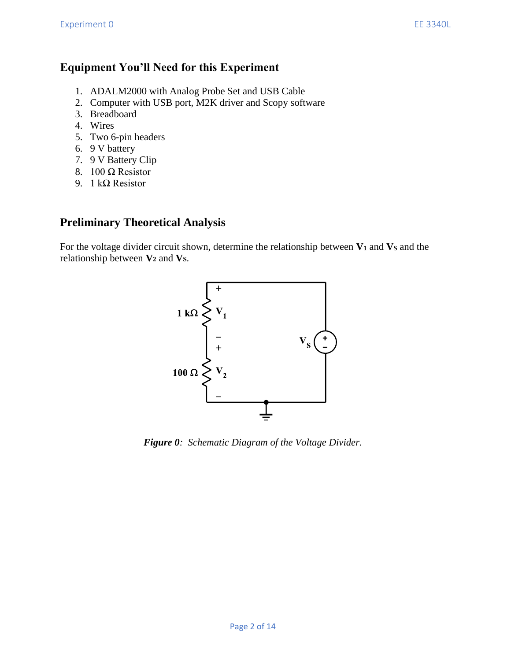#### **Equipment You'll Need for this Experiment**

- 1. ADALM2000 with Analog Probe Set and USB Cable
- 2. Computer with USB port, M2K driver and Scopy software
- 3. Breadboard
- 4. Wires
- 5. Two 6-pin headers
- 6. 9 V battery
- 7. 9 V Battery Clip
- 8. 100 Ω Resistor
- 9. 1 kΩ Resistor

#### **Preliminary Theoretical Analysis**

For the voltage divider circuit shown, determine the relationship between **V<sup>1</sup>** and **V<sup>S</sup>** and the relationship between **V<sup>2</sup>** and **VS**.



*Figure 0: Schematic Diagram of the Voltage Divider.*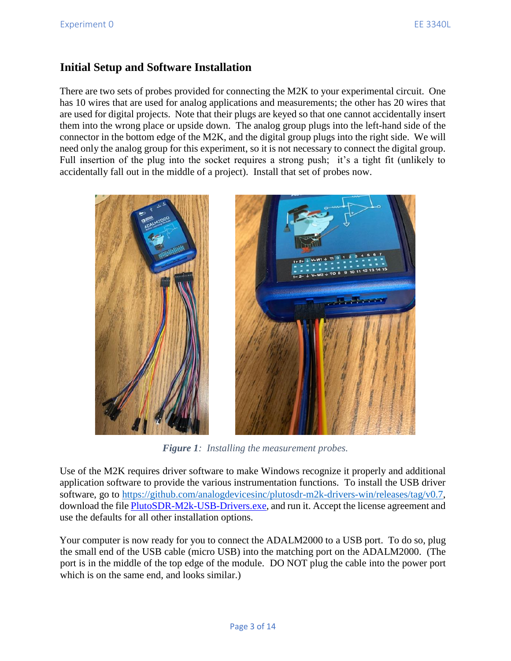#### **Initial Setup and Software Installation**

There are two sets of probes provided for connecting the M2K to your experimental circuit. One has 10 wires that are used for analog applications and measurements; the other has 20 wires that are used for digital projects. Note that their plugs are keyed so that one cannot accidentally insert them into the wrong place or upside down. The analog group plugs into the left-hand side of the connector in the bottom edge of the M2K, and the digital group plugs into the right side. We will need only the analog group for this experiment, so it is not necessary to connect the digital group. Full insertion of the plug into the socket requires a strong push; it's a tight fit (unlikely to accidentally fall out in the middle of a project). Install that set of probes now.



*Figure 1: Installing the measurement probes.*

Use of the M2K requires driver software to make Windows recognize it properly and additional application software to provide the various instrumentation functions. To install the USB driver software, go to [https://github.com/analogdevicesinc/plutosdr-m2k-drivers-win/releases/tag/v0.7,](https://github.com/analogdevicesinc/plutosdr-m2k-drivers-win/releases/tag/v0.7) download the file [PlutoSDR-M2k-USB-Drivers.exe,](https://github.com/analogdevicesinc/plutosdr-m2k-drivers-win/releases/download/v0.7/PlutoSDR-M2k-USB-Drivers.exe) and run it. Accept the license agreement and use the defaults for all other installation options.

Your computer is now ready for you to connect the ADALM2000 to a USB port. To do so, plug the small end of the USB cable (micro USB) into the matching port on the ADALM2000. (The port is in the middle of the top edge of the module. DO NOT plug the cable into the power port which is on the same end, and looks similar.)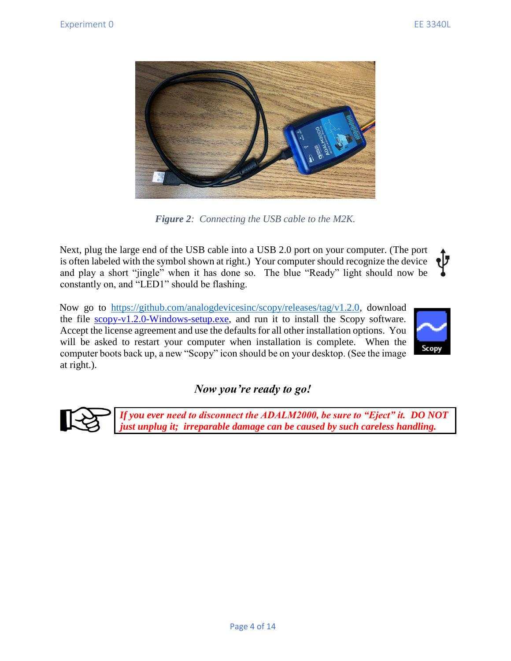

*Figure 2: Connecting the USB cable to the M2K.*

Next, plug the large end of the USB cable into a USB 2.0 port on your computer. (The port ol J is often labeled with the symbol shown at right.) Your computer should recognize the device and play a short "jingle" when it has done so. The blue "Ready" light should now be constantly on, and "LED1" should be flashing.

Now go to [https://github.com/analogdevicesinc/scopy/releases/tag/v1.2.0,](https://github.com/analogdevicesinc/scopy/releases/tag/v1.2.0) download the file [scopy-v1.2.0-Windows-setup.exe,](https://github.com/analogdevicesinc/scopy/releases/download/v1.2.0/scopy-v1.2.0-Windows-setup.exe) and run it to install the Scopy software. Accept the license agreement and use the defaults for all other installation options. You will be asked to restart your computer when installation is complete. When the computer boots back up, a new "Scopy" icon should be on your desktop. (See the image at right.).



#### *Now you're ready to go!*



*If you ever need to disconnect the ADALM2000, be sure to "Eject" it. DO NOT just unplug it; irreparable damage can be caused by such careless handling.*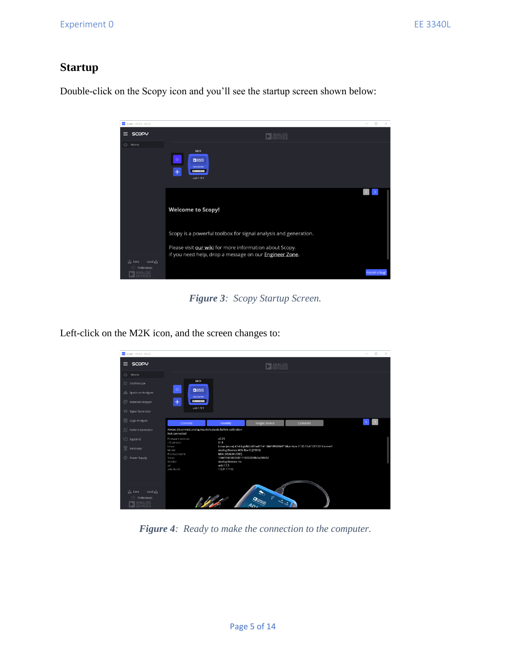#### **Startup**

Double-click on the Scopy icon and you'll see the startup screen shown below:



*Figure 3: Scopy Startup Screen.*

Left-click on the M2K icon, and the screen changes to:

| Scopy - v1.2.0 - v1.2.0                                    |                                                                                                                                            |                                  |                             |           |  | $\sim$ | $\Box$<br>$\times$ |
|------------------------------------------------------------|--------------------------------------------------------------------------------------------------------------------------------------------|----------------------------------|-----------------------------|-----------|--|--------|--------------------|
| $\equiv$ SCOPY                                             | <b>DEVICES</b>                                                                                                                             |                                  |                             |           |  |        |                    |
| $\triangle$ Home                                           |                                                                                                                                            |                                  |                             |           |  |        |                    |
| <b>J</b> ©scilloscope                                      | M2K<br>$\bullet$<br>口能增                                                                                                                    |                                  |                             |           |  |        |                    |
| all Spectrum Analyzer                                      | ADALM2000                                                                                                                                  |                                  |                             |           |  |        |                    |
| Network Analyzer                                           | $+$<br><b>COLORED BY</b><br>usb:1.5.5                                                                                                      |                                  |                             |           |  |        |                    |
| 1/ Signal Generator                                        |                                                                                                                                            |                                  |                             |           |  |        |                    |
| C Logic Analyzer                                           | Connect                                                                                                                                    | Identify                         | Forget device               | Calibrate |  |        |                    |
| □ Pattern Generator                                        | Always disconnect analog inputs/outputs before calibration<br>Not connected                                                                |                                  |                             |           |  |        |                    |
| O Digital IO                                               | Firmware version<br>IIO version                                                                                                            | v0.25<br>0.18                    |                             |           |  |        |                    |
| <b>S</b> Voltmeter                                         | Linux (none) 4.14.0-gbfb0c427ad77 #1 SMP PREEMPT Mon Nov 11 20:15:47 CET 2019 armv7l<br>Linux<br>Analog Devices M2k Rev.D (Z7010)<br>Model |                                  |                             |           |  |        |                    |
| <b>D</b> Power Supply                                      | Product name<br>M2k (ADALM-2000)<br>Serial<br>1044739659930001110022008b3e299b52                                                           |                                  |                             |           |  |        |                    |
|                                                            | Vendor<br>uri                                                                                                                              | Analog Devices Inc.<br>usb:1.5.5 |                             |           |  |        |                    |
|                                                            | usb.libusb                                                                                                                                 | 1.0.21.11156                     |                             |           |  |        |                    |
|                                                            |                                                                                                                                            |                                  |                             |           |  |        |                    |
| Load 也<br><b>பீ</b> Save<br>Preferences<br>VALOG<br>EVICES |                                                                                                                                            | 1100                             | of the land line<br>$A_{D}$ |           |  |        |                    |

*Figure 4: Ready to make the connection to the computer.*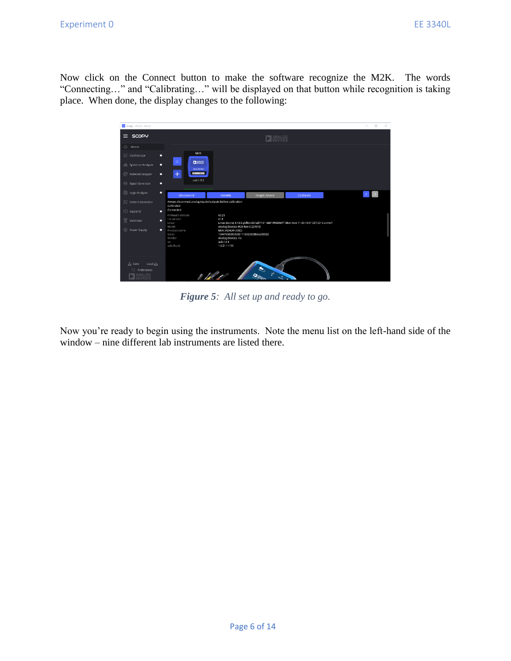Now click on the Connect button to make the software recognize the M2K. The words "Connecting…" and "Calibrating…" will be displayed on that button while recognition is taking place. When done, the display changes to the following:



*Figure 5: All set up and ready to go.*

Now you're ready to begin using the instruments. Note the menu list on the left-hand side of the window – nine different lab instruments are listed there.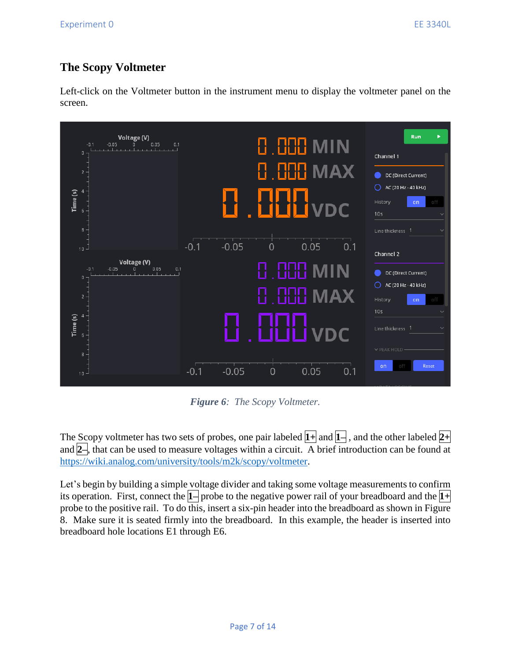## **The Scopy Voltmeter**

Left-click on the Voltmeter button in the instrument menu to display the voltmeter panel on the screen.



*Figure 6: The Scopy Voltmeter.*

The Scopy voltmeter has two sets of probes, one pair labeled **1+** and **1–** , and the other labeled **2+** and **2–**, that can be used to measure voltages within a circuit. A brief introduction can be found at [https://wiki.analog.com/university/tools/m2k/scopy/voltmeter.](https://wiki.analog.com/university/tools/m2k/scopy/voltmeter)

Let's begin by building a simple voltage divider and taking some voltage measurements to confirm its operation. First, connect the **1–** probe to the negative power rail of your breadboard and the **1+** probe to the positive rail. To do this, insert a six-pin header into the breadboard as shown in Figure 8. Make sure it is seated firmly into the breadboard. In this example, the header is inserted into breadboard hole locations E1 through E6.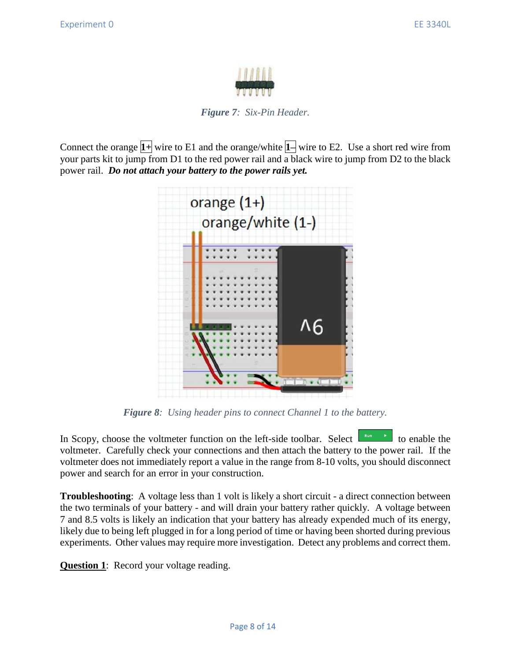

*Figure 7: Six-Pin Header.*

Connect the orange **1+** wire to E1 and the orange/white **1–** wire to E2. Use a short red wire from your parts kit to jump from D1 to the red power rail and a black wire to jump from D2 to the black power rail. *Do not attach your battery to the power rails yet.*



*Figure 8: Using header pins to connect Channel 1 to the battery.*

In Scopy, choose the voltmeter function on the left-side toolbar. Select  $\left[\begin{array}{ccc} \text{run} & \bullet & \bullet \\ \text{fun} & \bullet & \bullet \end{array}\right]$  to enable the voltmeter. Carefully check your connections and then attach the battery to the power rail. If the voltmeter does not immediately report a value in the range from 8-10 volts, you should disconnect power and search for an error in your construction.

**Troubleshooting**: A voltage less than 1 volt is likely a short circuit - a direct connection between the two terminals of your battery - and will drain your battery rather quickly. A voltage between 7 and 8.5 volts is likely an indication that your battery has already expended much of its energy, likely due to being left plugged in for a long period of time or having been shorted during previous experiments. Other values may require more investigation. Detect any problems and correct them.

**Question 1**: Record your voltage reading.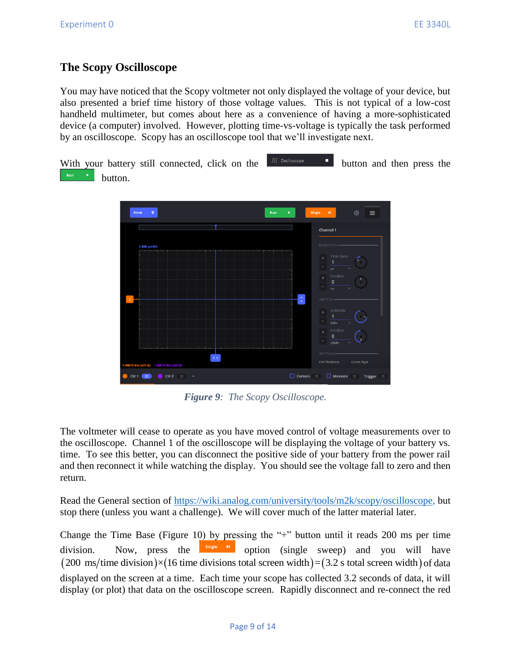#### **The Scopy Oscilloscope**

You may have noticed that the Scopy voltmeter not only displayed the voltage of your device, but also presented a brief time history of those voltage values. This is not typical of a low-cost handheld multimeter, but comes about here as a convenience of having a more-sophisticated device (a computer) involved. However, plotting time-vs-voltage is typically the task performed by an oscilloscope. Scopy has an oscilloscope tool that we'll investigate next.

With your battery still connected, click on the  $\mathbb{R}^{\mathbb{C}^{\text{Cstilloscope}}}$  button and then press the button.



*Figure 9: The Scopy Oscilloscope.*

The voltmeter will cease to operate as you have moved control of voltage measurements over to the oscilloscope. Channel 1 of the oscilloscope will be displaying the voltage of your battery vs. time. To see this better, you can disconnect the positive side of your battery from the power rail and then reconnect it while watching the display. You should see the voltage fall to zero and then return.

Read the General section of [https://wiki.analog.com/university/tools/m2k/scopy/oscilloscope,](https://wiki.analog.com/university/tools/m2k/scopy/oscilloscope) but stop there (unless you want a challenge). We will cover much of the latter material later.

Change the Time Base (Figure 10) by pressing the "+" button until it reads 200 ms per time division. Now, press the  $\frac{1}{\text{single}}$  is option (single sweep) and you will have  $(200 \text{ ms/time division}) \times (16 \text{ time divisions total screen width}) = (3.2 \text{ s total screen width})$  of data displayed on the screen at a time. Each time your scope has collected 3.2 seconds of data, it will display (or plot) that data on the oscilloscope screen. Rapidly disconnect and re-connect the red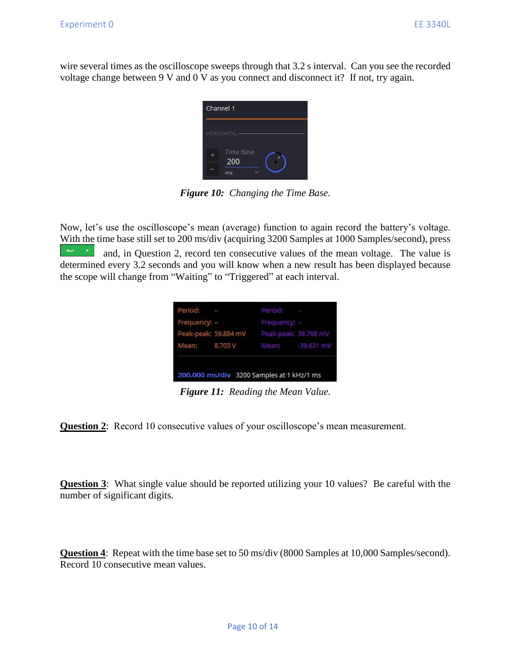wire several times as the oscilloscope sweeps through that 3.2 s interval. Can you see the recorded voltage change between 9 V and 0 V as you connect and disconnect it? If not, try again.

| Channel 1        |
|------------------|
| HORIZONTAL-      |
| Time Base<br>200 |
| ms               |

*Figure 10: Changing the Time Base.*

Now, let's use the oscilloscope's mean (average) function to again record the battery's voltage. With the time base still set to 200 ms/div (acquiring 3200 Samples at 1000 Samples/second), press  $\begin{bmatrix} \frac{R_{\text{turn}}}{\sqrt{2}} \\ \frac{1}{\sqrt{2}} \end{bmatrix}$  and, in Question 2, record ten consecutive values of the mean voltage. The value is determined every 3.2 seconds and you will know when a new result has been displayed because the scope will change from "Waiting" to "Triggered" at each interval.

| 200.000 ms/div 3200 Samples at 1 kHz/1 ms |                                           |              |                                 |  |  |  |  |
|-------------------------------------------|-------------------------------------------|--------------|---------------------------------|--|--|--|--|
|                                           |                                           |              | Mean: 8.703 V Mean: - 39.631 mV |  |  |  |  |
|                                           | Peak-peak: 59.884 mV Peak-peak: 39.768 mV |              |                                 |  |  |  |  |
| Frequency: -                              |                                           | Frequency: - |                                 |  |  |  |  |
| Period: -                                 |                                           | Period: -    |                                 |  |  |  |  |

*Figure 11: Reading the Mean Value.*

**Question 2**: Record 10 consecutive values of your oscilloscope's mean measurement.

**Question 3**: What single value should be reported utilizing your 10 values? Be careful with the number of significant digits.

**Question 4**: Repeat with the time base set to 50 ms/div (8000 Samples at 10,000 Samples/second). Record 10 consecutive mean values.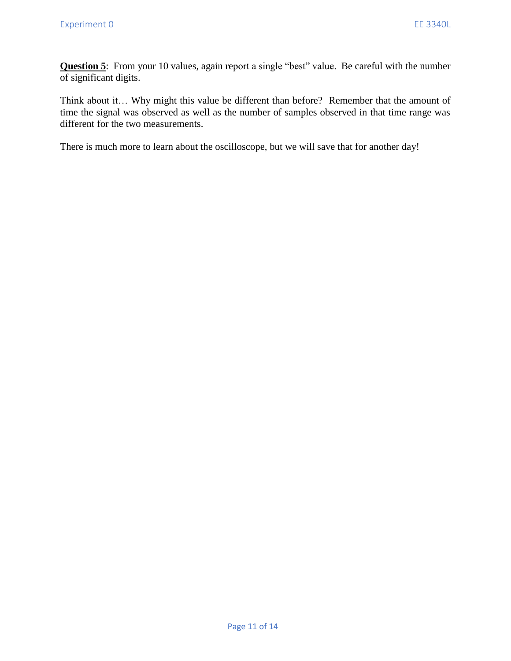**Question 5**: From your 10 values, again report a single "best" value. Be careful with the number of significant digits.

Think about it… Why might this value be different than before? Remember that the amount of time the signal was observed as well as the number of samples observed in that time range was different for the two measurements.

There is much more to learn about the oscilloscope, but we will save that for another day!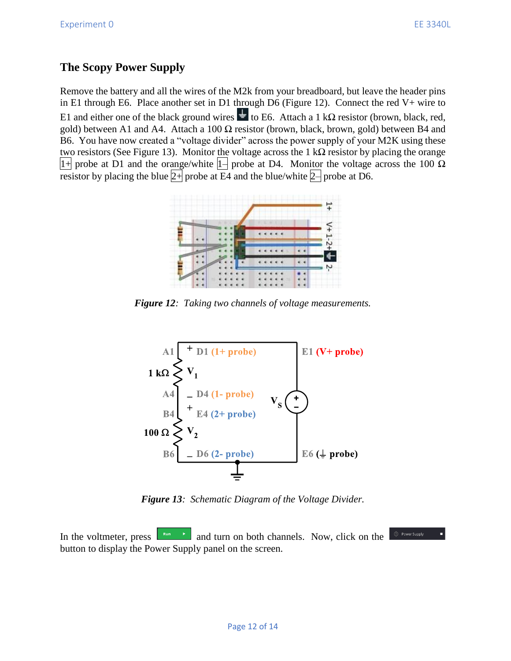### **The Scopy Power Supply**

Remove the battery and all the wires of the M2k from your breadboard, but leave the header pins in E1 through E6. Place another set in D1 through D6 (Figure 12). Connect the red  $V+$  wire to E1 and either one of the black ground wires  $\frac{1}{\epsilon}$  to E6. Attach a 1 kΩ resistor (brown, black, red, gold) between A1 and A4. Attach a 100  $\Omega$  resistor (brown, black, brown, gold) between B4 and B6. You have now created a "voltage divider" across the power supply of your M2K using these two resistors (See Figure 13). Monitor the voltage across the 1 kΩ resistor by placing the orange  $|1+|$  probe at D1 and the orange/white  $|1-|$  probe at D4. Monitor the voltage across the 100  $\Omega$ resistor by placing the blue  $|2+|$  probe at E4 and the blue/white  $|2-|$  probe at D6.



*Figure 12: Taking two channels of voltage measurements.*



*Figure 13: Schematic Diagram of the Voltage Divider.*

In the voltmeter, press  $\begin{bmatrix} \mathbb{R}^{n} \\ \mathbb{R}^{n} \end{bmatrix}$  and turn on both channels. Now, click on the button to display the Power Supply panel on the screen.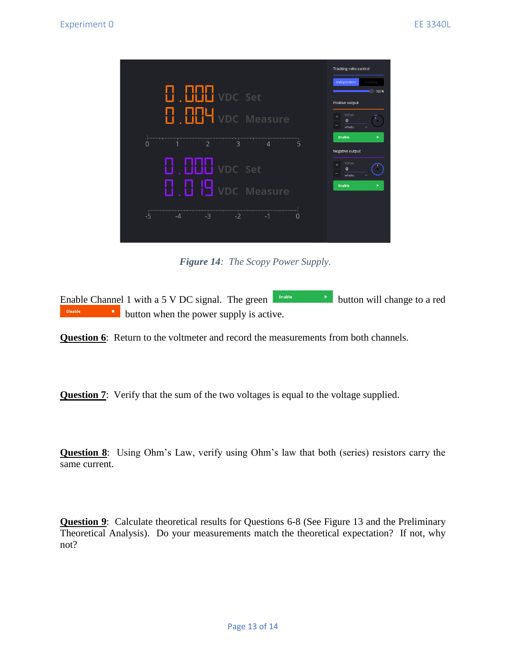

*Figure 14: The Scopy Power Supply.*

Enable Channel 1 with a 5 V DC signal. The green  $\begin{bmatrix} \text{finite} \\ \text{finite} \end{bmatrix}$  button will change to a red Disable **button** when the power supply is active.

**Question 6**: Return to the voltmeter and record the measurements from both channels.

**Question 7:** Verify that the sum of the two voltages is equal to the voltage supplied.

**Question 8**: Using Ohm's Law, verify using Ohm's law that both (series) resistors carry the same current.

**Question 9**: Calculate theoretical results for Questions 6-8 (See Figure 13 and the Preliminary Theoretical Analysis). Do your measurements match the theoretical expectation? If not, why not?